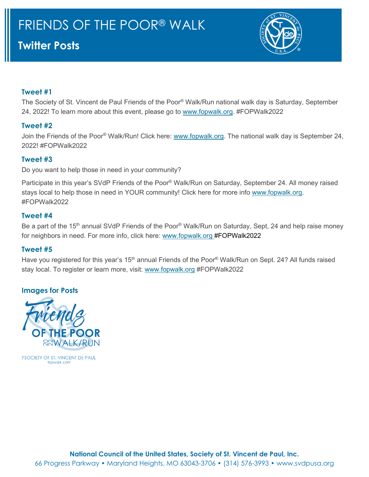# **Twitter Posts**



## **Tweet #1**

The Society of St. Vincent de Paul Friends of the Poor® Walk/Run national walk day is Saturday, September 24, 2022! To learn more about this event, please go to [www.fopwalk.org.](http://www.fopwalk.org/) #FOPWalk2022

## **Tweet #2**

Join the Friends of the Poor® Walk/Run! Click here: [www.fopwalk.org.](http://www.fopwalk.org/) The national walk day is September 24, 2022! #FOPWalk2022

## **Tweet #3**

Do you want to help those in need in your community?

Participate in this year's SVdP Friends of the Poor® Walk/Run on Saturday, September 24. All money raised stays local to help those in need in YOUR community! Click here for more info [www.fopwalk.org.](http://www.fopwalk.org/) #FOPWalk2022

#### **Tweet #4**

Be a part of the 15<sup>th</sup> annual SVdP Friends of the Poor® Walk/Run on Saturday, Sept, 24 and help raise money for neighbors in need. For more info, click here: [www.fopwalk.org](http://www.fopwalk.org/) #FOPWalk2022

#### **Tweet #5**

Have you registered for this year's 15<sup>th</sup> annual Friends of the Poor<sup>®</sup> Walk/Run on Sept. 24? All funds raised stay local. To register or learn more, visit: [www.fopwalk.org](http://www.fopwalk.org/) #FOPWalk2022

## **Images for Posts**



*ESOCIETY OF ST. VINCENT DE PAUL* fonwalk col